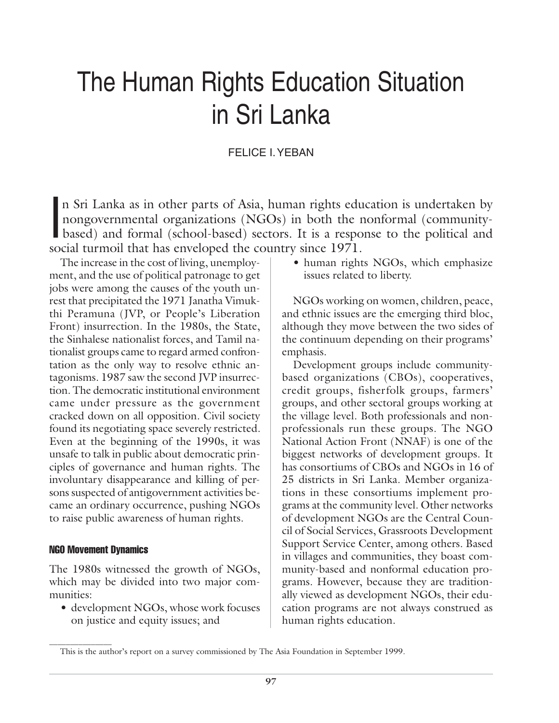# The Human Rights Education Situation in Sri Lanka

# FELICE I. YEBAN

In Sri Lanka as in other parts of Asia, human rights education is undertaken by<br>hongovernmental organizations (NGOs) in both the nonformal (community-<br>based) and formal (school-based) sectors. It is a response to the polit n Sri Lanka as in other parts of Asia, human rights education is undertaken by nongovernmental organizations (NGOs) in both the nonformal (communitysocial turmoil that has enveloped the country since 1971.

The increase in the cost of living, unemployment, and the use of political patronage to get jobs were among the causes of the youth unrest that precipitated the 1971 Janatha Vimukthi Peramuna (JVP, or People's Liberation Front) insurrection. In the 1980s, the State, the Sinhalese nationalist forces, and Tamil nationalist groups came to regard armed confrontation as the only way to resolve ethnic antagonisms. 1987 saw the second JVP insurrection. The democratic institutional environment came under pressure as the government cracked down on all opposition. Civil society found its negotiating space severely restricted. Even at the beginning of the 1990s, it was unsafe to talk in public about democratic principles of governance and human rights. The involuntary disappearance and killing of persons suspected of antigovernment activities became an ordinary occurrence, pushing NGOs to raise public awareness of human rights.

# NGO Movement Dynamics

 $\overline{\phantom{a}}$  , where  $\overline{\phantom{a}}$ 

The 1980s witnessed the growth of NGOs, which may be divided into two major communities:

• development NGOs, whose work focuses on justice and equity issues; and

• human rights NGOs, which emphasize issues related to liberty.

NGOs working on women, children, peace, and ethnic issues are the emerging third bloc, although they move between the two sides of the continuum depending on their programs' emphasis.

Development groups include communitybased organizations (CBOs), cooperatives, credit groups, fisherfolk groups, farmers' groups, and other sectoral groups working at the village level. Both professionals and nonprofessionals run these groups. The NGO National Action Front (NNAF) is one of the biggest networks of development groups. It has consortiums of CBOs and NGOs in 16 of 25 districts in Sri Lanka. Member organizations in these consortiums implement programs at the community level. Other networks of development NGOs are the Central Council of Social Services, Grassroots Development Support Service Center, among others. Based in villages and communities, they boast community-based and nonformal education programs. However, because they are traditionally viewed as development NGOs, their education programs are not always construed as human rights education.

This is the author's report on a survey commissioned by The Asia Foundation in September 1999.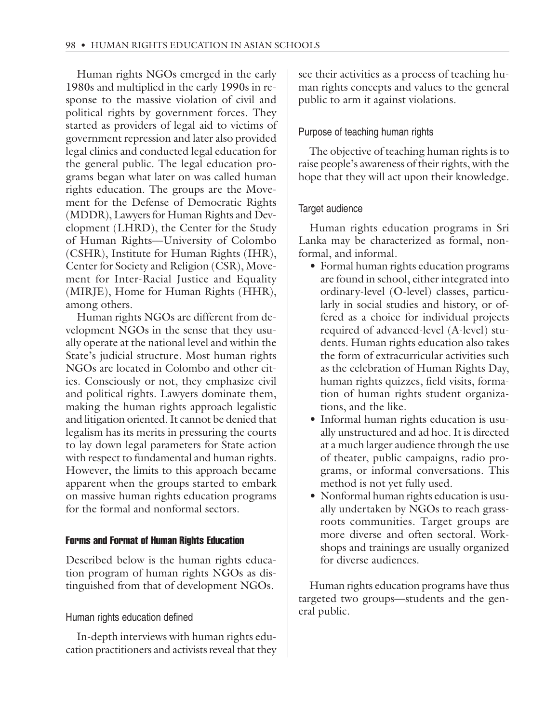Human rights NGOs emerged in the early 1980s and multiplied in the early 1990s in response to the massive violation of civil and political rights by government forces. They started as providers of legal aid to victims of government repression and later also provided legal clinics and conducted legal education for the general public. The legal education programs began what later on was called human rights education. The groups are the Movement for the Defense of Democratic Rights (MDDR), Lawyers for Human Rights and Development (LHRD), the Center for the Study of Human Rights—University of Colombo (CSHR), Institute for Human Rights (IHR), Center for Society and Religion (CSR), Movement for Inter-Racial Justice and Equality (MIRJE), Home for Human Rights (HHR), among others.

Human rights NGOs are different from development NGOs in the sense that they usually operate at the national level and within the State's judicial structure. Most human rights NGOs are located in Colombo and other cities. Consciously or not, they emphasize civil and political rights. Lawyers dominate them, making the human rights approach legalistic and litigation oriented. It cannot be denied that legalism has its merits in pressuring the courts to lay down legal parameters for State action with respect to fundamental and human rights. However, the limits to this approach became apparent when the groups started to embark on massive human rights education programs for the formal and nonformal sectors.

# Forms and Format of Human Rights Education

Described below is the human rights education program of human rights NGOs as distinguished from that of development NGOs.

# Human rights education defined

In-depth interviews with human rights education practitioners and activists reveal that they see their activities as a process of teaching human rights concepts and values to the general public to arm it against violations.

# Purpose of teaching human rights

The objective of teaching human rights is to raise people's awareness of their rights, with the hope that they will act upon their knowledge.

# Target audience

Human rights education programs in Sri Lanka may be characterized as formal, nonformal, and informal.

- Formal human rights education programs are found in school, either integrated into ordinary-level (O-level) classes, particularly in social studies and history, or offered as a choice for individual projects required of advanced-level (A-level) students. Human rights education also takes the form of extracurricular activities such as the celebration of Human Rights Day, human rights quizzes, field visits, formation of human rights student organizations, and the like.
- Informal human rights education is usually unstructured and ad hoc. It is directed at a much larger audience through the use of theater, public campaigns, radio programs, or informal conversations. This method is not yet fully used.
- Nonformal human rights education is usually undertaken by NGOs to reach grassroots communities. Target groups are more diverse and often sectoral. Workshops and trainings are usually organized for diverse audiences.

Human rights education programs have thus targeted two groups—students and the general public.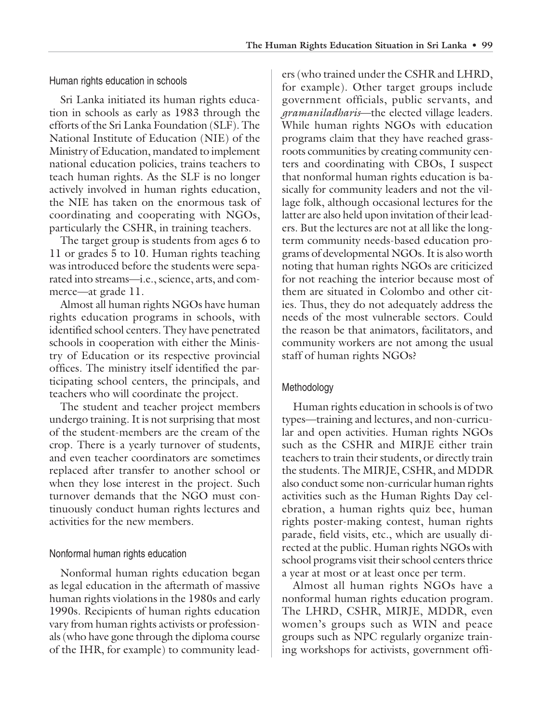Human rights education in schools

Sri Lanka initiated its human rights education in schools as early as 1983 through the efforts of the Sri Lanka Foundation (SLF). The National Institute of Education (NIE) of the Ministry of Education, mandated to implement national education policies, trains teachers to teach human rights. As the SLF is no longer actively involved in human rights education, the NIE has taken on the enormous task of coordinating and cooperating with NGOs, particularly the CSHR, in training teachers.

The target group is students from ages 6 to 11 or grades 5 to 10. Human rights teaching was introduced before the students were separated into streams—i.e., science, arts, and commerce—at grade 11.

Almost all human rights NGOs have human rights education programs in schools, with identified school centers. They have penetrated schools in cooperation with either the Ministry of Education or its respective provincial offices. The ministry itself identified the participating school centers, the principals, and teachers who will coordinate the project.

The student and teacher project members undergo training. It is not surprising that most of the student-members are the cream of the crop. There is a yearly turnover of students, and even teacher coordinators are sometimes replaced after transfer to another school or when they lose interest in the project. Such turnover demands that the NGO must continuously conduct human rights lectures and activities for the new members.

# Nonformal human rights education

Nonformal human rights education began as legal education in the aftermath of massive human rights violations in the 1980s and early 1990s. Recipients of human rights education vary from human rights activists or professionals (who have gone through the diploma course of the IHR, for example) to community leaders (who trained under the CSHR and LHRD, for example). Other target groups include government officials, public servants, and *gramaniladharis*—the elected village leaders. While human rights NGOs with education programs claim that they have reached grassroots communities by creating community centers and coordinating with CBOs, I suspect that nonformal human rights education is basically for community leaders and not the village folk, although occasional lectures for the latter are also held upon invitation of their leaders. But the lectures are not at all like the longterm community needs-based education programs of developmental NGOs. It is also worth noting that human rights NGOs are criticized for not reaching the interior because most of them are situated in Colombo and other cities. Thus, they do not adequately address the needs of the most vulnerable sectors. Could the reason be that animators, facilitators, and community workers are not among the usual staff of human rights NGOs?

# Methodology

Human rights education in schools is of two types—training and lectures, and non-curricular and open activities. Human rights NGOs such as the CSHR and MIRJE either train teachers to train their students, or directly train the students. The MIRJE, CSHR, and MDDR also conduct some non-curricular human rights activities such as the Human Rights Day celebration, a human rights quiz bee, human rights poster-making contest, human rights parade, field visits, etc., which are usually directed at the public. Human rights NGOs with school programs visit their school centers thrice a year at most or at least once per term.

Almost all human rights NGOs have a nonformal human rights education program. The LHRD, CSHR, MIRJE, MDDR, even women's groups such as WIN and peace groups such as NPC regularly organize training workshops for activists, government offi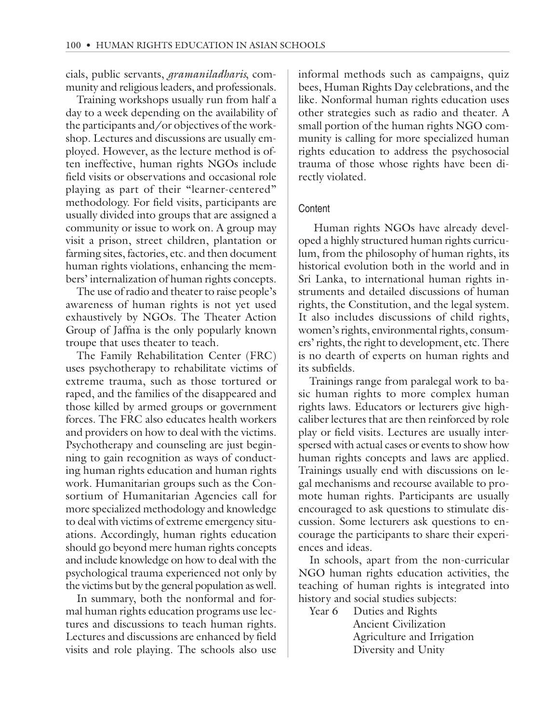cials, public servants, *gramaniladharis*, community and religious leaders, and professionals.

Training workshops usually run from half a day to a week depending on the availability of the participants and/or objectives of the workshop. Lectures and discussions are usually employed. However, as the lecture method is often ineffective, human rights NGOs include field visits or observations and occasional role playing as part of their "learner-centered" methodology. For field visits, participants are usually divided into groups that are assigned a community or issue to work on. A group may visit a prison, street children, plantation or farming sites, factories, etc. and then document human rights violations, enhancing the members' internalization of human rights concepts.

The use of radio and theater to raise people's awareness of human rights is not yet used exhaustively by NGOs. The Theater Action Group of Jaffna is the only popularly known troupe that uses theater to teach.

The Family Rehabilitation Center (FRC) uses psychotherapy to rehabilitate victims of extreme trauma, such as those tortured or raped, and the families of the disappeared and those killed by armed groups or government forces. The FRC also educates health workers and providers on how to deal with the victims. Psychotherapy and counseling are just beginning to gain recognition as ways of conducting human rights education and human rights work. Humanitarian groups such as the Consortium of Humanitarian Agencies call for more specialized methodology and knowledge to deal with victims of extreme emergency situations. Accordingly, human rights education should go beyond mere human rights concepts and include knowledge on how to deal with the psychological trauma experienced not only by the victims but by the general population as well.

In summary, both the nonformal and formal human rights education programs use lectures and discussions to teach human rights. Lectures and discussions are enhanced by field visits and role playing. The schools also use

informal methods such as campaigns, quiz bees, Human Rights Day celebrations, and the like. Nonformal human rights education uses other strategies such as radio and theater. A small portion of the human rights NGO community is calling for more specialized human rights education to address the psychosocial trauma of those whose rights have been directly violated.

### **Content**

 Human rights NGOs have already developed a highly structured human rights curriculum, from the philosophy of human rights, its historical evolution both in the world and in Sri Lanka, to international human rights instruments and detailed discussions of human rights, the Constitution, and the legal system. It also includes discussions of child rights, women's rights, environmental rights, consumers' rights, the right to development, etc. There is no dearth of experts on human rights and its subfields.

Trainings range from paralegal work to basic human rights to more complex human rights laws. Educators or lecturers give highcaliber lectures that are then reinforced by role play or field visits. Lectures are usually interspersed with actual cases or events to show how human rights concepts and laws are applied. Trainings usually end with discussions on legal mechanisms and recourse available to promote human rights. Participants are usually encouraged to ask questions to stimulate discussion. Some lecturers ask questions to encourage the participants to share their experiences and ideas.

In schools, apart from the non-curricular NGO human rights education activities, the teaching of human rights is integrated into history and social studies subjects:

Year 6 Duties and Rights Ancient Civilization Agriculture and Irrigation Diversity and Unity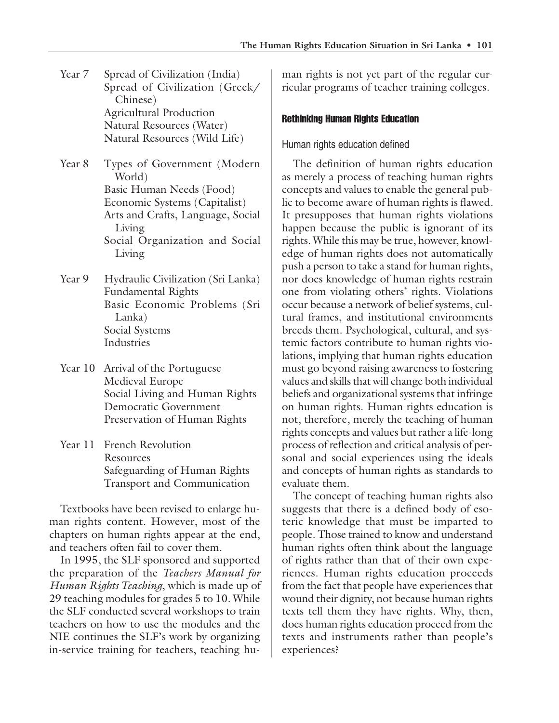- Year 7 Spread of Civilization (India) Spread of Civilization (Greek/ Chinese) Agricultural Production Natural Resources (Water) Natural Resources (Wild Life)
- Year 8 Types of Government (Modern World) Basic Human Needs (Food) Economic Systems (Capitalist) Arts and Crafts, Language, Social Living Social Organization and Social Living
- Year 9 Hydraulic Civilization (Sri Lanka) Fundamental Rights Basic Economic Problems (Sri Lanka) Social Systems Industries
- Year 10 Arrival of the Portuguese Medieval Europe Social Living and Human Rights Democratic Government Preservation of Human Rights
- Year 11 French Revolution Resources Safeguarding of Human Rights Transport and Communication

Textbooks have been revised to enlarge human rights content. However, most of the chapters on human rights appear at the end, and teachers often fail to cover them.

In 1995, the SLF sponsored and supported the preparation of the *Teachers Manual for Human Rights Teaching*, which is made up of 29 teaching modules for grades 5 to 10. While the SLF conducted several workshops to train teachers on how to use the modules and the NIE continues the SLF's work by organizing in-service training for teachers, teaching human rights is not yet part of the regular curricular programs of teacher training colleges.

#### Rethinking Human Rights Education

#### Human rights education defined

The definition of human rights education as merely a process of teaching human rights concepts and values to enable the general public to become aware of human rights is flawed. It presupposes that human rights violations happen because the public is ignorant of its rights. While this may be true, however, knowledge of human rights does not automatically push a person to take a stand for human rights, nor does knowledge of human rights restrain one from violating others' rights. Violations occur because a network of belief systems, cultural frames, and institutional environments breeds them. Psychological, cultural, and systemic factors contribute to human rights violations, implying that human rights education must go beyond raising awareness to fostering values and skills that will change both individual beliefs and organizational systems that infringe on human rights. Human rights education is not, therefore, merely the teaching of human rights concepts and values but rather a life-long process of reflection and critical analysis of personal and social experiences using the ideals and concepts of human rights as standards to evaluate them.

The concept of teaching human rights also suggests that there is a defined body of esoteric knowledge that must be imparted to people. Those trained to know and understand human rights often think about the language of rights rather than that of their own experiences. Human rights education proceeds from the fact that people have experiences that wound their dignity, not because human rights texts tell them they have rights. Why, then, does human rights education proceed from the texts and instruments rather than people's experiences?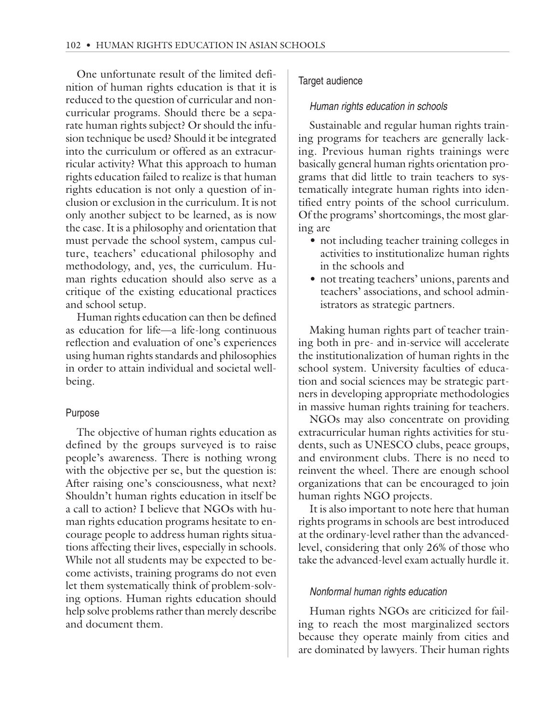One unfortunate result of the limited definition of human rights education is that it is reduced to the question of curricular and noncurricular programs. Should there be a separate human rights subject? Or should the infusion technique be used? Should it be integrated into the curriculum or offered as an extracurricular activity? What this approach to human rights education failed to realize is that human rights education is not only a question of inclusion or exclusion in the curriculum. It is not only another subject to be learned, as is now the case. It is a philosophy and orientation that must pervade the school system, campus culture, teachers' educational philosophy and methodology, and, yes, the curriculum. Human rights education should also serve as a critique of the existing educational practices and school setup.

Human rights education can then be defined as education for life—a life-long continuous reflection and evaluation of one's experiences using human rights standards and philosophies in order to attain individual and societal wellbeing.

#### Purpose

The objective of human rights education as defined by the groups surveyed is to raise people's awareness. There is nothing wrong with the objective per se, but the question is: After raising one's consciousness, what next? Shouldn't human rights education in itself be a call to action? I believe that NGOs with human rights education programs hesitate to encourage people to address human rights situations affecting their lives, especially in schools. While not all students may be expected to become activists, training programs do not even let them systematically think of problem-solving options. Human rights education should help solve problems rather than merely describe and document them.

# Target audience

#### Human rights education in schools

Sustainable and regular human rights training programs for teachers are generally lacking. Previous human rights trainings were basically general human rights orientation programs that did little to train teachers to systematically integrate human rights into identified entry points of the school curriculum. Of the programs' shortcomings, the most glaring are

- not including teacher training colleges in activities to institutionalize human rights in the schools and
- not treating teachers' unions, parents and teachers' associations, and school administrators as strategic partners.

Making human rights part of teacher training both in pre- and in-service will accelerate the institutionalization of human rights in the school system. University faculties of education and social sciences may be strategic partners in developing appropriate methodologies in massive human rights training for teachers.

NGOs may also concentrate on providing extracurricular human rights activities for students, such as UNESCO clubs, peace groups, and environment clubs. There is no need to reinvent the wheel. There are enough school organizations that can be encouraged to join human rights NGO projects.

It is also important to note here that human rights programs in schools are best introduced at the ordinary-level rather than the advancedlevel, considering that only 26% of those who take the advanced-level exam actually hurdle it.

#### Nonformal human rights education

Human rights NGOs are criticized for failing to reach the most marginalized sectors because they operate mainly from cities and are dominated by lawyers. Their human rights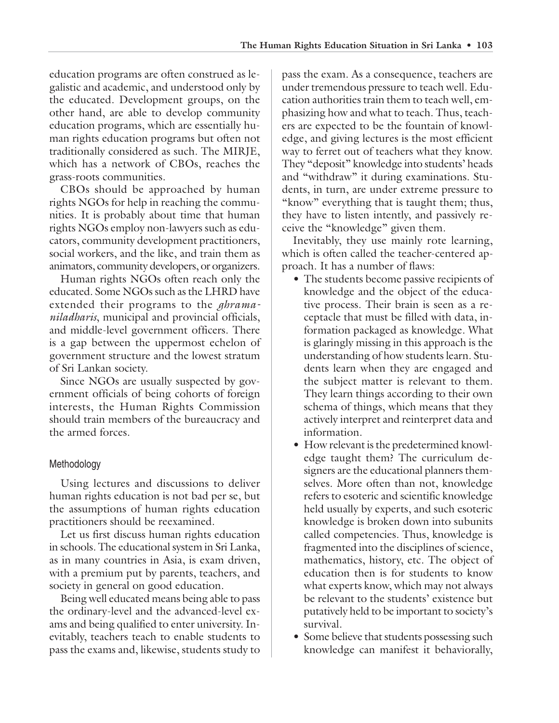education programs are often construed as legalistic and academic, and understood only by the educated. Development groups, on the other hand, are able to develop community education programs, which are essentially human rights education programs but often not traditionally considered as such. The MIRJE, which has a network of CBOs, reaches the grass-roots communities.

CBOs should be approached by human rights NGOs for help in reaching the communities. It is probably about time that human rights NGOs employ non-lawyers such as educators, community development practitioners, social workers, and the like, and train them as animators, community developers, or organizers.

Human rights NGOs often reach only the educated. Some NGOs such as the LHRD have extended their programs to the *ghramaniladharis*, municipal and provincial officials, and middle-level government officers. There is a gap between the uppermost echelon of government structure and the lowest stratum of Sri Lankan society.

Since NGOs are usually suspected by government officials of being cohorts of foreign interests, the Human Rights Commission should train members of the bureaucracy and the armed forces.

# Methodology

Using lectures and discussions to deliver human rights education is not bad per se, but the assumptions of human rights education practitioners should be reexamined.

Let us first discuss human rights education in schools. The educational system in Sri Lanka, as in many countries in Asia, is exam driven, with a premium put by parents, teachers, and society in general on good education.

Being well educated means being able to pass the ordinary-level and the advanced-level exams and being qualified to enter university. Inevitably, teachers teach to enable students to pass the exams and, likewise, students study to

pass the exam. As a consequence, teachers are under tremendous pressure to teach well. Education authorities train them to teach well, emphasizing how and what to teach. Thus, teachers are expected to be the fountain of knowledge, and giving lectures is the most efficient way to ferret out of teachers what they know. They "deposit" knowledge into students' heads and "withdraw" it during examinations. Students, in turn, are under extreme pressure to "know" everything that is taught them; thus, they have to listen intently, and passively receive the "knowledge" given them.

Inevitably, they use mainly rote learning, which is often called the teacher-centered approach. It has a number of flaws:

- The students become passive recipients of knowledge and the object of the educative process. Their brain is seen as a receptacle that must be filled with data, information packaged as knowledge. What is glaringly missing in this approach is the understanding of how students learn. Students learn when they are engaged and the subject matter is relevant to them. They learn things according to their own schema of things, which means that they actively interpret and reinterpret data and information.
- How relevant is the predetermined knowledge taught them? The curriculum designers are the educational planners themselves. More often than not, knowledge refers to esoteric and scientific knowledge held usually by experts, and such esoteric knowledge is broken down into subunits called competencies. Thus, knowledge is fragmented into the disciplines of science, mathematics, history, etc. The object of education then is for students to know what experts know, which may not always be relevant to the students' existence but putatively held to be important to society's survival.
- Some believe that students possessing such knowledge can manifest it behaviorally,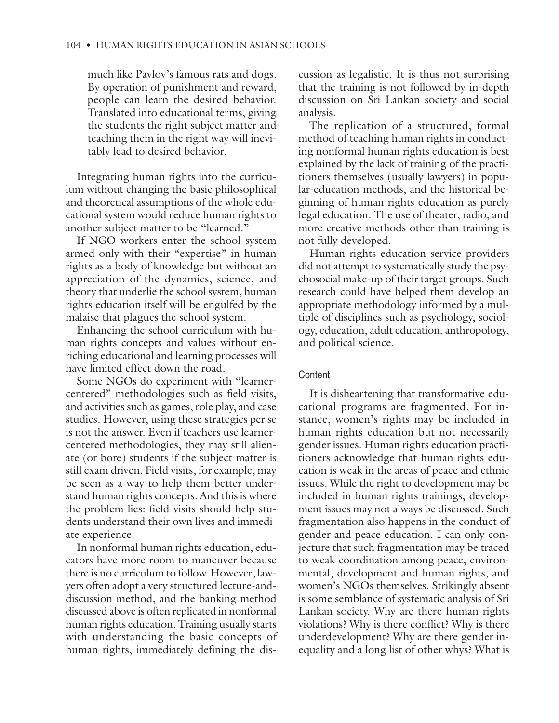much like Pavlov's famous rats and dogs. By operation of punishment and reward, people can learn the desired behavior. Translated into educational terms, giving the students the right subject matter and teaching them in the right way will inevitably lead to desired behavior.

Integrating human rights into the curriculum without changing the basic philosophical and theoretical assumptions of the whole educational system would reduce human rights to another subject matter to be "learned."

If NGO workers enter the school system armed only with their "expertise" in human rights as a body of knowledge but without an appreciation of the dynamics, science, and theory that underlie the school system, human rights education itself will be engulfed by the malaise that plagues the school system.

Enhancing the school curriculum with human rights concepts and values without enriching educational and learning processes will have limited effect down the road.

Some NGOs do experiment with "learnercentered" methodologies such as field visits, and activities such as games, role play, and case studies. However, using these strategies per se is not the answer. Even if teachers use learnercentered methodologies, they may still alienate (or bore) students if the subject matter is still exam driven. Field visits, for example, may be seen as a way to help them better understand human rights concepts. And this is where the problem lies: field visits should help students understand their own lives and immediate experience.

In nonformal human rights education, educators have more room to maneuver because there is no curriculum to follow. However, lawyers often adopt a very structured lecture-anddiscussion method, and the banking method discussed above is often replicated in nonformal human rights education. Training usually starts with understanding the basic concepts of human rights, immediately defining the discussion as legalistic. It is thus not surprising that the training is not followed by in-depth discussion on Sri Lankan society and social analysis.

The replication of a structured, formal method of teaching human rights in conducting nonformal human rights education is best explained by the lack of training of the practitioners themselves (usually lawyers) in popular-education methods, and the historical beginning of human rights education as purely legal education. The use of theater, radio, and more creative methods other than training is not fully developed.

Human rights education service providers did not attempt to systematically study the psychosocial make-up of their target groups. Such research could have helped them develop an appropriate methodology informed by a multiple of disciplines such as psychology, sociology, education, adult education, anthropology, and political science.

# **Content**

It is disheartening that transformative educational programs are fragmented. For instance, women's rights may be included in human rights education but not necessarily gender issues. Human rights education practitioners acknowledge that human rights education is weak in the areas of peace and ethnic issues. While the right to development may be included in human rights trainings, development issues may not always be discussed. Such fragmentation also happens in the conduct of gender and peace education. I can only conjecture that such fragmentation may be traced to weak coordination among peace, environmental, development and human rights, and women's NGOs themselves. Strikingly absent is some semblance of systematic analysis of Sri Lankan society. Why are there human rights violations? Why is there conflict? Why is there underdevelopment? Why are there gender inequality and a long list of other whys? What is